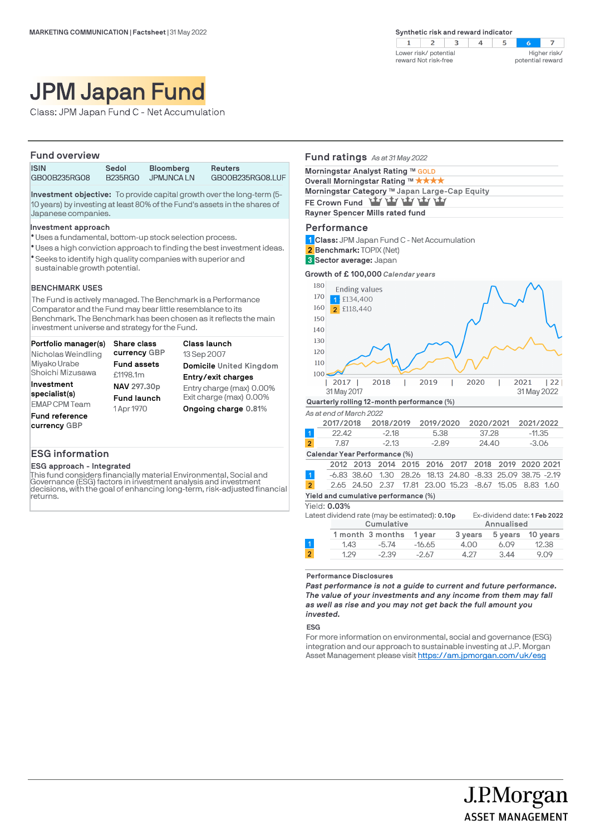$2 \mid 3$  $\mathbb{R}$  $4 \quad 5$  $\overline{z}$  $\blacksquare$  $\sim$ Lower risk/ potential Higher risk/ reward Not risk-free potential reward

# JPM Japan Fund

Class: JPM Japan Fund C - Net Accumulation

## **Fund overview**

**ISIN Sedol Bloomberg Reuters**

GB00B235RG08.LUF

**Investment objective:** To provide capital growth over the long-term (5- 10 years) by investing at least 80% of the Fund's assets in the shares of Japanese companies.

### **Investment approach**

- Uses a fundamental, bottom-up stock selection process. l
- Uses a high conviction approach to finding the best investment ideas. l
- Seeks to identify high quality companies with superior and l sustainable growth potential.

### **BENCHMARK USES**

The Fund is actively managed. The Benchmark is a Performance Comparator and the Fund may bear little resemblance to its Benchmark. The Benchmark has been chosen as it reflects the main investment universe and strategy for the Fund.

| Portfolio manager(s)<br>Nicholas Weindling | Share class<br>currency GBP | Class launch<br>13 Sep 2007 |
|--------------------------------------------|-----------------------------|-----------------------------|
| Miyako Urabe                               | <b>Fund assets</b>          | Domicile United Kingdom     |
| Shoichi Mizusawa                           | £1198.1m                    | Entry/exit charges          |
| Investment                                 | NAV 297.30p                 | Entry charge (max) 0.00%    |
| specialist(s)                              | <b>Fund launch</b>          | Exit charge (max) 0.00%     |
| <b>EMAP CPM Team</b>                       | 1 Apr 1970                  | Ongoing charge 0.81%        |
| <b>Fund reference</b><br>currency GBP      |                             |                             |

# **ESG information**

**ESG approach - Integrated**

This fund considers financially material Environmental, Social and Governance (ESG) factors in investment analysis and investment decisions, with the goal of enhancing long-term, risk-adjusted financial returns.

| Fund ratings As at 31 May 2022                                         |                      |               |           |                   |           |                               |                |          |
|------------------------------------------------------------------------|----------------------|---------------|-----------|-------------------|-----------|-------------------------------|----------------|----------|
| Morningstar Analyst Rating ™ GOLD<br>Overall Morningstar Rating ™ ★★★★ |                      |               |           |                   |           |                               |                |          |
| Morningstar Category ™ Japan Large-Cap Equity                          |                      |               |           |                   |           |                               |                |          |
| FE Crown Fund Yay Yay Yay Yay Yay                                      |                      |               |           |                   |           |                               |                |          |
| Rayner Spencer Mills rated fund                                        |                      |               |           |                   |           |                               |                |          |
| Performance                                                            |                      |               |           |                   |           |                               |                |          |
| 1 Class: JPM Japan Fund C - Net Accumulation                           |                      |               |           |                   |           |                               |                |          |
| 2 Benchmark: TOPIX (Net)                                               |                      |               |           |                   |           |                               |                |          |
| <b>3 Sector average: Japan</b>                                         |                      |               |           |                   |           |                               |                |          |
| Growth of £100,000 Calendar years                                      |                      |               |           |                   |           |                               |                |          |
| 180                                                                    | <b>Ending values</b> |               |           |                   |           |                               |                |          |
| 170                                                                    | £134,400             |               |           |                   |           |                               |                |          |
| 160                                                                    | 2 £118,440           |               |           |                   |           |                               |                |          |
| 150                                                                    |                      |               |           |                   |           |                               |                |          |
| 140                                                                    |                      |               |           |                   |           |                               |                |          |
| 130                                                                    |                      |               |           |                   |           |                               |                |          |
| 120                                                                    |                      |               |           |                   |           |                               |                |          |
| 110                                                                    |                      |               |           |                   |           |                               |                |          |
| 100                                                                    |                      |               |           |                   |           |                               |                |          |
| 2017                                                                   | 2018                 |               | 2019      |                   | 2020      |                               | 2021           | 22       |
| 31 May 2017                                                            |                      |               |           |                   |           |                               | 31 May 2022    |          |
| Quarterly rolling 12-month performance (%)                             |                      |               |           |                   |           |                               |                |          |
| As at end of March 2022                                                |                      |               |           |                   |           |                               |                |          |
| 2017/2018                                                              |                      | 2018/2019     | 2019/2020 |                   | 2020/2021 |                               | 2021/2022      |          |
| $\overline{1}$<br>22.42                                                |                      | $-2.18$       | 5.38      |                   | 37.28     |                               | $-11.35$       |          |
| $\overline{2}$<br>7.87                                                 |                      | $-2.13$       | $-2.89$   |                   | 24.40     |                               | $-3.06$        |          |
| Calendar Year Performance (%)                                          |                      |               |           |                   |           |                               |                |          |
| 2012                                                                   | 2013                 | 2014 2015     | 2016      | 2017              | 2018      |                               | 2019 2020 2021 |          |
| $\overline{1}$                                                         | $-6.83$ 38.60        | 1.30<br>28.26 | 18.13     |                   |           | 24.80 -8.33 25.09 38.75 -2.19 |                |          |
| $\overline{2}$<br>2.65                                                 | 24.50                | 2.37 17.81    |           | 23.00 15.23 -8.67 |           | 15.05                         | 8.83 1.60      |          |
| Yield and cumulative performance (%)                                   |                      |               |           |                   |           |                               |                |          |
| Yield: 0.03%                                                           |                      |               |           |                   |           | Ex-dividend date: 1 Feb 2022  |                |          |
| Latest dividend rate (may be estimated): 0.10p                         |                      | Cumulative    |           |                   |           | Annualised                    |                |          |
|                                                                        | 1 month 3 months     |               | 1 year    | 3 years           |           | 5 years                       |                | 10 years |
| 1<br>1.43                                                              |                      | $-5.74$       | $-16.65$  | 4.00              |           | 6.09                          |                | 12.38    |
| $\overline{2}$<br>1.29                                                 |                      | $-2.39$       | -2.67     | 4.27              |           | 3.44                          |                | 9.09     |

#### **Performance Disclosures**

*Past performance is not a guide to current and future performance. The value of your investments and any income from them may fall as well as rise and you may not get back the full amount you invested.* 

**ESG**

For more information on environmental, social and governance (ESG) integration and our approach to sustainable investing at J.P. Morgan Asset Management please visit https://am.jpmorgan.com/uk/esg

J.P.Morgan

**ASSET MANAGEMENT**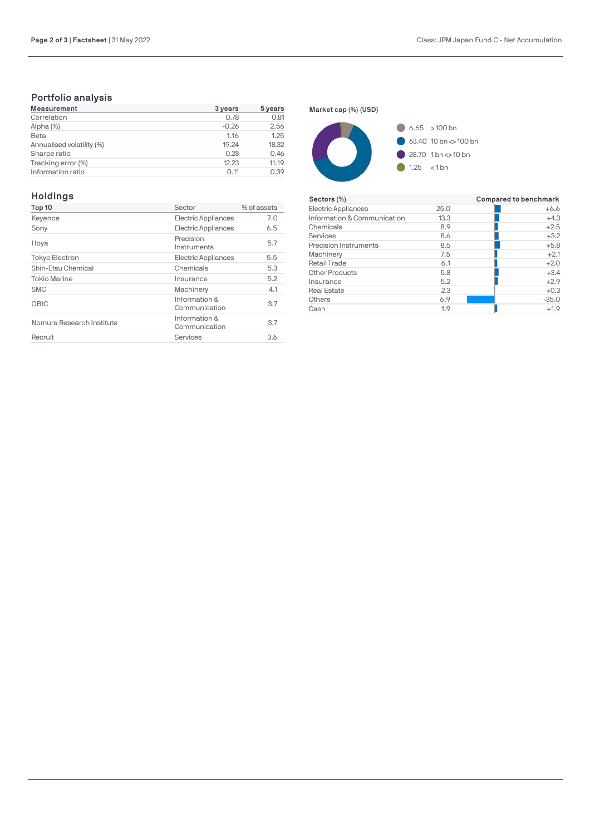# **Portfolio analysis**

| <b>Measurement</b>        | 3 years | 5 years |
|---------------------------|---------|---------|
| Correlation               | 0.78    | 0.81    |
| Alpha (%)                 | $-0.26$ | 2.56    |
| Beta                      | 1.16    | 1.25    |
| Annualised volatility (%) | 19.24   | 18.32   |
| Sharpe ratio              | 0.28    | 0.46    |
| Tracking error (%)        | 12.23   | 11.19   |
| Information ratio         | 0.11    | 0.39    |

# **Holdings**

| Top 10                    | Sector                         | % of assets |
|---------------------------|--------------------------------|-------------|
| Keyence                   | Electric Appliances            | 7.0         |
| Sony                      | Electric Appliances            | 6.5         |
| Hoya                      | Precision<br>Instruments       | 5.7         |
| Tokyo Electron            | <b>Electric Appliances</b>     | 5.5         |
| Shin-Etsu Chemical        | Chemicals                      | 5.3         |
| <b>Tokio Marine</b>       | Insurance                      | 5.2         |
| <b>SMC</b>                | Machinery                      | 4.1         |
| OBIC                      | Information &<br>Communication | 3.7         |
| Nomura Research Institute | Information &<br>Communication | 3.7         |
| Recruit                   | Services                       | 3.6         |

**Market cap (%) (USD)**



| Sectors (%)                  |      | Compared to benchmark |
|------------------------------|------|-----------------------|
| <b>Electric Appliances</b>   | 25.0 | $+6.6$                |
| Information & Communication  | 13.3 | $+4.3$                |
| Chemicals                    | 8.9  | $+2.5$                |
| Services                     | 8.6  | $+3.2$                |
| <b>Precision Instruments</b> | 8.5  | $+5.8$                |
| Machinery                    | 7.5  | $+2.1$                |
| <b>Retail Trade</b>          | 6.1  | $+2.0$                |
| <b>Other Products</b>        | 5.8  | $+3.4$                |
| Insurance                    | 5.2  | $+2.9$                |
| <b>Real Estate</b>           | 2.3  | $+0.3$                |
| Others                       | 6.9  | $-35.0$               |
| Cash                         | 1.9  | $+1.9$                |